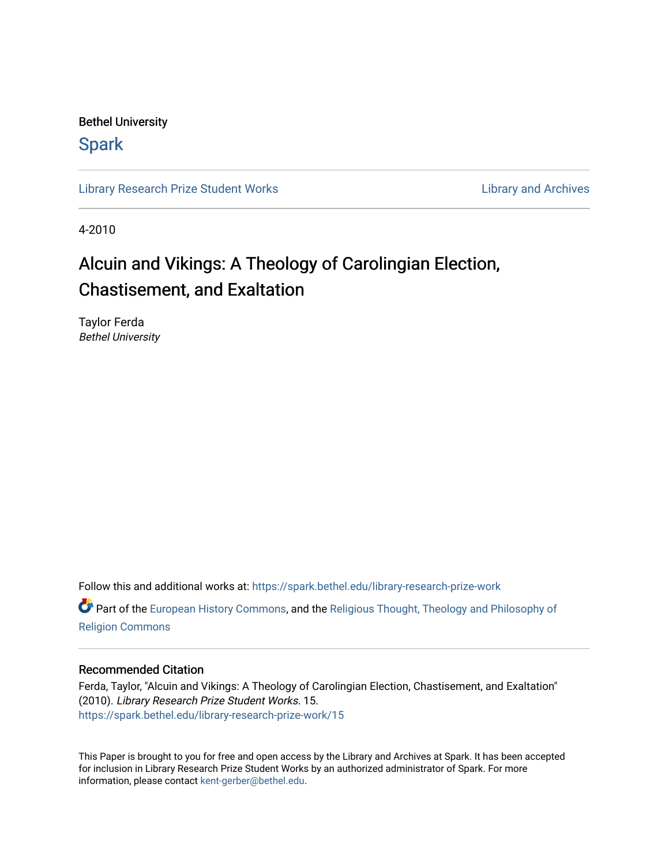Bethel University

# **Spark**

[Library Research Prize Student Works](https://spark.bethel.edu/library-research-prize-work) **Library Access 2018** Library and Archives

4-2010

# Alcuin and Vikings: A Theology of Carolingian Election, Chastisement, and Exaltation

Taylor Ferda Bethel University

Follow this and additional works at: [https://spark.bethel.edu/library-research-prize-work](https://spark.bethel.edu/library-research-prize-work?utm_source=spark.bethel.edu%2Flibrary-research-prize-work%2F15&utm_medium=PDF&utm_campaign=PDFCoverPages) 

Part of the [European History Commons](http://network.bepress.com/hgg/discipline/492?utm_source=spark.bethel.edu%2Flibrary-research-prize-work%2F15&utm_medium=PDF&utm_campaign=PDFCoverPages), and the [Religious Thought, Theology and Philosophy of](http://network.bepress.com/hgg/discipline/544?utm_source=spark.bethel.edu%2Flibrary-research-prize-work%2F15&utm_medium=PDF&utm_campaign=PDFCoverPages)  [Religion Commons](http://network.bepress.com/hgg/discipline/544?utm_source=spark.bethel.edu%2Flibrary-research-prize-work%2F15&utm_medium=PDF&utm_campaign=PDFCoverPages)

#### Recommended Citation

Ferda, Taylor, "Alcuin and Vikings: A Theology of Carolingian Election, Chastisement, and Exaltation" (2010). Library Research Prize Student Works. 15. [https://spark.bethel.edu/library-research-prize-work/15](https://spark.bethel.edu/library-research-prize-work/15?utm_source=spark.bethel.edu%2Flibrary-research-prize-work%2F15&utm_medium=PDF&utm_campaign=PDFCoverPages) 

This Paper is brought to you for free and open access by the Library and Archives at Spark. It has been accepted for inclusion in Library Research Prize Student Works by an authorized administrator of Spark. For more information, please contact [kent-gerber@bethel.edu.](mailto:kent-gerber@bethel.edu)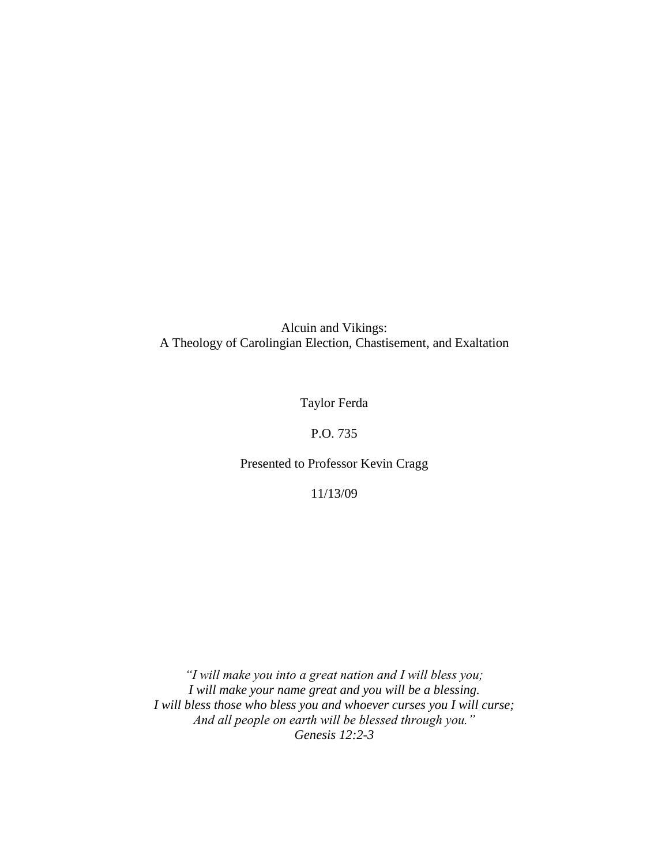Alcuin and Vikings: A Theology of Carolingian Election, Chastisement, and Exaltation

Taylor Ferda

## P.O. 735

### Presented to Professor Kevin Cragg

11/13/09

*"I will make you into a great nation and I will bless you; I will make your name great and you will be a blessing. I will bless those who bless you and whoever curses you I will curse; And all people on earth will be blessed through you." Genesis 12:2-3*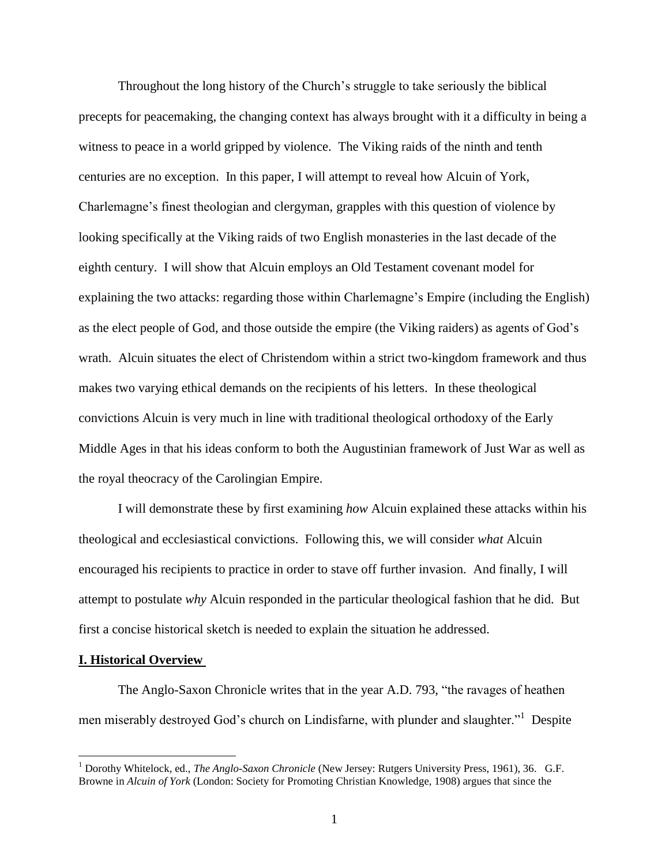Throughout the long history of the Church"s struggle to take seriously the biblical precepts for peacemaking, the changing context has always brought with it a difficulty in being a witness to peace in a world gripped by violence. The Viking raids of the ninth and tenth centuries are no exception. In this paper, I will attempt to reveal how Alcuin of York, Charlemagne"s finest theologian and clergyman, grapples with this question of violence by looking specifically at the Viking raids of two English monasteries in the last decade of the eighth century. I will show that Alcuin employs an Old Testament covenant model for explaining the two attacks: regarding those within Charlemagne's Empire (including the English) as the elect people of God, and those outside the empire (the Viking raiders) as agents of God"s wrath. Alcuin situates the elect of Christendom within a strict two-kingdom framework and thus makes two varying ethical demands on the recipients of his letters. In these theological convictions Alcuin is very much in line with traditional theological orthodoxy of the Early Middle Ages in that his ideas conform to both the Augustinian framework of Just War as well as the royal theocracy of the Carolingian Empire.

I will demonstrate these by first examining *how* Alcuin explained these attacks within his theological and ecclesiastical convictions. Following this, we will consider *what* Alcuin encouraged his recipients to practice in order to stave off further invasion. And finally, I will attempt to postulate *why* Alcuin responded in the particular theological fashion that he did. But first a concise historical sketch is needed to explain the situation he addressed.

#### **I. Historical Overview**

 $\overline{a}$ 

The Anglo-Saxon Chronicle writes that in the year A.D. 793, "the ravages of heathen men miserably destroyed God's church on Lindisfarne, with plunder and slaughter."<sup>1</sup> Despite

<sup>1</sup> Dorothy Whitelock, ed., *The Anglo-Saxon Chronicle* (New Jersey: Rutgers University Press, 1961), 36. G.F. Browne in *Alcuin of York* (London: Society for Promoting Christian Knowledge, 1908) argues that since the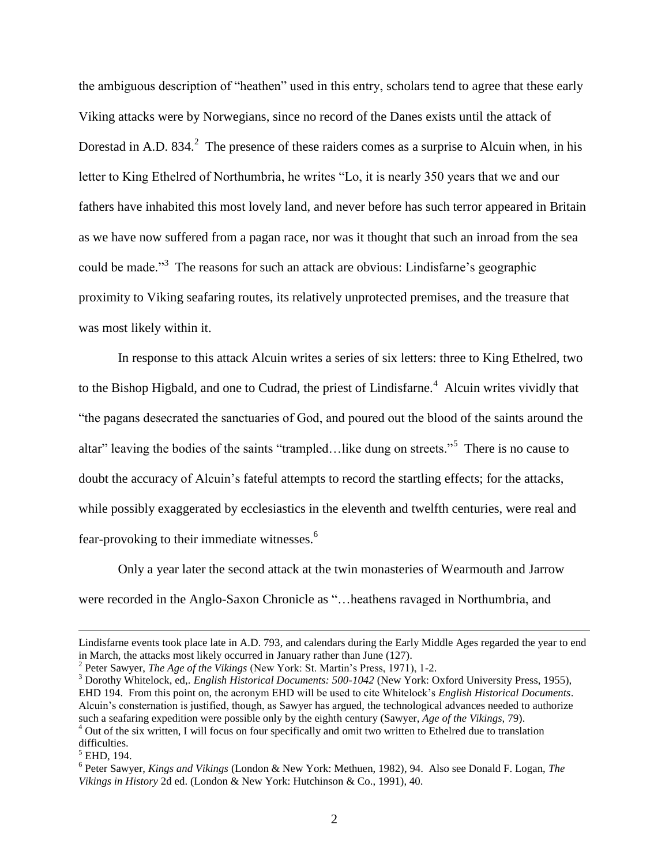the ambiguous description of "heathen" used in this entry, scholars tend to agree that these early Viking attacks were by Norwegians, since no record of the Danes exists until the attack of Dorestad in A.D. 834.<sup>2</sup> The presence of these raiders comes as a surprise to Alcuin when, in his letter to King Ethelred of Northumbria, he writes "Lo, it is nearly 350 years that we and our fathers have inhabited this most lovely land, and never before has such terror appeared in Britain as we have now suffered from a pagan race, nor was it thought that such an inroad from the sea could be made."<sup>3</sup> The reasons for such an attack are obvious: Lindisfarne's geographic proximity to Viking seafaring routes, its relatively unprotected premises, and the treasure that was most likely within it.

In response to this attack Alcuin writes a series of six letters: three to King Ethelred, two to the Bishop Higbald, and one to Cudrad, the priest of Lindisfarne.<sup>4</sup> Alcuin writes vividly that "the pagans desecrated the sanctuaries of God, and poured out the blood of the saints around the altar" leaving the bodies of the saints "trampled...like dung on streets."<sup>5</sup> There is no cause to doubt the accuracy of Alcuin's fateful attempts to record the startling effects; for the attacks, while possibly exaggerated by ecclesiastics in the eleventh and twelfth centuries, were real and fear-provoking to their immediate witnesses.<sup>6</sup>

Only a year later the second attack at the twin monasteries of Wearmouth and Jarrow were recorded in the Anglo-Saxon Chronicle as "…heathens ravaged in Northumbria, and

Lindisfarne events took place late in A.D. 793, and calendars during the Early Middle Ages regarded the year to end in March, the attacks most likely occurred in January rather than June (127).

<sup>&</sup>lt;sup>2</sup> Peter Sawyer, *The Age of the Vikings* (New York: St. Martin's Press, 1971), 1-2.

<sup>&</sup>lt;sup>3</sup> Dorothy Whitelock, ed,. *English Historical Documents: 500-1042* (New York: Oxford University Press, 1955), EHD 194. From this point on, the acronym EHD will be used to cite Whitelock"s *English Historical Documents*. Alcuin"s consternation is justified, though, as Sawyer has argued, the technological advances needed to authorize such a seafaring expedition were possible only by the eighth century (Sawyer, *Age of the Vikings,* 79).

<sup>&</sup>lt;sup>4</sup> Out of the six written, I will focus on four specifically and omit two written to Ethelred due to translation difficulties.

<sup>5</sup> EHD, 194.

<sup>6</sup> Peter Sawyer, *Kings and Vikings* (London & New York: Methuen, 1982), 94. Also see Donald F. Logan, *The Vikings in History* 2d ed. (London & New York: Hutchinson & Co., 1991), 40.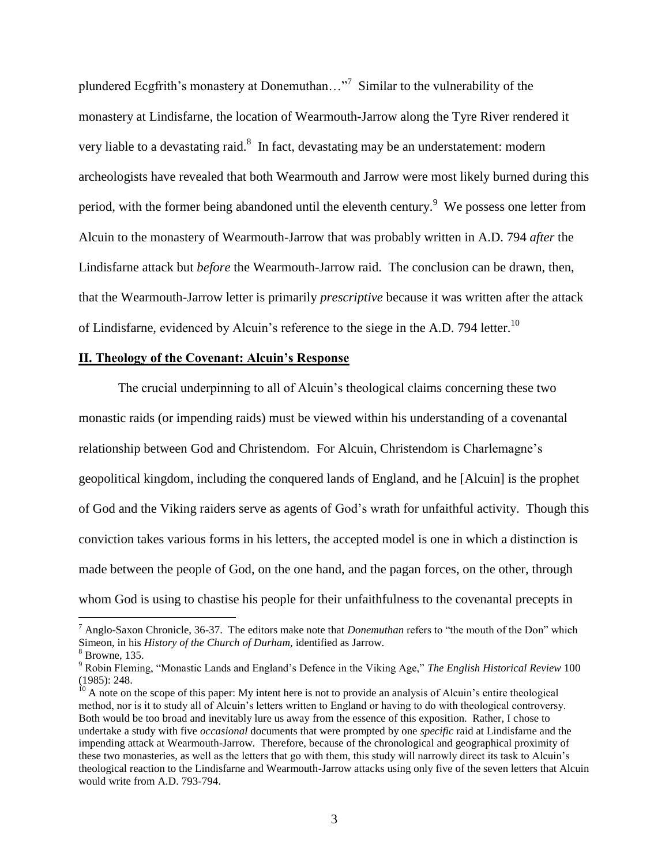plundered Ecgfrith's monastery at Donemuthan..."<sup>7</sup> Similar to the vulnerability of the monastery at Lindisfarne, the location of Wearmouth-Jarrow along the Tyre River rendered it very liable to a devastating raid.<sup>8</sup> In fact, devastating may be an understatement: modern archeologists have revealed that both Wearmouth and Jarrow were most likely burned during this period, with the former being abandoned until the eleventh century.<sup>9</sup> We possess one letter from Alcuin to the monastery of Wearmouth-Jarrow that was probably written in A.D. 794 *after* the Lindisfarne attack but *before* the Wearmouth-Jarrow raid. The conclusion can be drawn, then, that the Wearmouth-Jarrow letter is primarily *prescriptive* because it was written after the attack of Lindisfarne, evidenced by Alcuin's reference to the siege in the A.D. 794 letter.<sup>10</sup>

#### **II. Theology of the Covenant: Alcuin's Response**

The crucial underpinning to all of Alcuin"s theological claims concerning these two monastic raids (or impending raids) must be viewed within his understanding of a covenantal relationship between God and Christendom. For Alcuin, Christendom is Charlemagne"s geopolitical kingdom, including the conquered lands of England, and he [Alcuin] is the prophet of God and the Viking raiders serve as agents of God"s wrath for unfaithful activity. Though this conviction takes various forms in his letters, the accepted model is one in which a distinction is made between the people of God, on the one hand, and the pagan forces, on the other, through whom God is using to chastise his people for their unfaithfulness to the covenantal precepts in

<sup>7</sup> Anglo-Saxon Chronicle, 36-37. The editors make note that *Donemuthan* refers to "the mouth of the Don" which Simeon, in his *History of the Church of Durham,* identified as Jarrow.

 $8$  Browne, 135.

<sup>9</sup> Robin Fleming, "Monastic Lands and England"s Defence in the Viking Age," *The English Historical Review* 100 (1985): 248.

 $10$  A note on the scope of this paper: My intent here is not to provide an analysis of Alcuin's entire theological method, nor is it to study all of Alcuin"s letters written to England or having to do with theological controversy. Both would be too broad and inevitably lure us away from the essence of this exposition. Rather, I chose to undertake a study with five *occasional* documents that were prompted by one *specific* raid at Lindisfarne and the impending attack at Wearmouth-Jarrow. Therefore, because of the chronological and geographical proximity of these two monasteries, as well as the letters that go with them, this study will narrowly direct its task to Alcuin"s theological reaction to the Lindisfarne and Wearmouth-Jarrow attacks using only five of the seven letters that Alcuin would write from A.D. 793-794.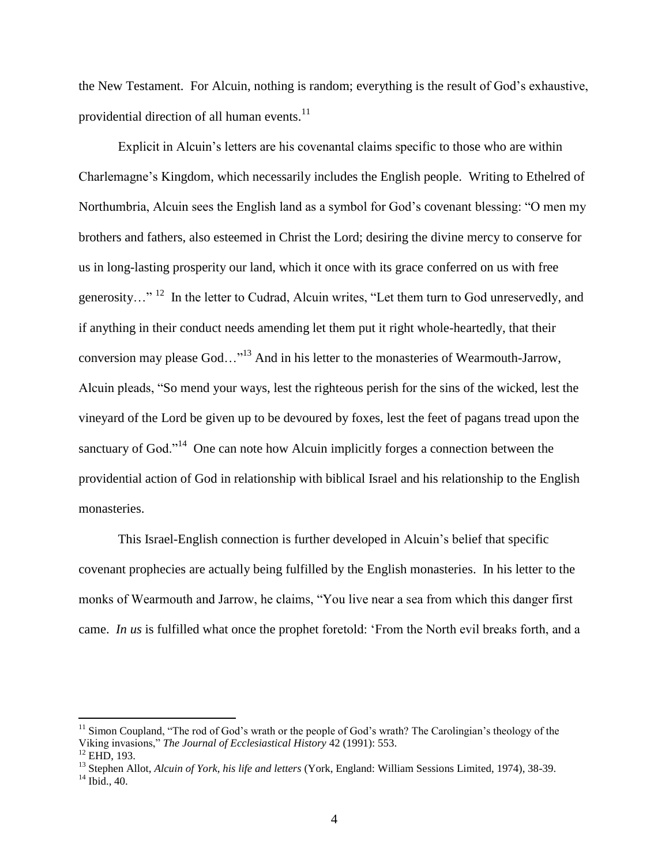the New Testament. For Alcuin, nothing is random; everything is the result of God"s exhaustive, providential direction of all human events.<sup>11</sup>

Explicit in Alcuin"s letters are his covenantal claims specific to those who are within Charlemagne"s Kingdom, which necessarily includes the English people. Writing to Ethelred of Northumbria, Alcuin sees the English land as a symbol for God's covenant blessing: "O men my brothers and fathers, also esteemed in Christ the Lord; desiring the divine mercy to conserve for us in long-lasting prosperity our land, which it once with its grace conferred on us with free generosity..."<sup>12</sup> In the letter to Cudrad, Alcuin writes, "Let them turn to God unreservedly, and if anything in their conduct needs amending let them put it right whole-heartedly, that their conversion may please God..."<sup>13</sup> And in his letter to the monasteries of Wearmouth-Jarrow, Alcuin pleads, "So mend your ways, lest the righteous perish for the sins of the wicked, lest the vineyard of the Lord be given up to be devoured by foxes, lest the feet of pagans tread upon the sanctuary of God."<sup>14</sup> One can note how Alcuin implicitly forges a connection between the providential action of God in relationship with biblical Israel and his relationship to the English monasteries.

This Israel-English connection is further developed in Alcuin"s belief that specific covenant prophecies are actually being fulfilled by the English monasteries. In his letter to the monks of Wearmouth and Jarrow, he claims, "You live near a sea from which this danger first came. *In us* is fulfilled what once the prophet foretold: "From the North evil breaks forth, and a

<sup>&</sup>lt;sup>11</sup> Simon Coupland, "The rod of God's wrath or the people of God's wrath? The Carolingian's theology of the Viking invasions," *The Journal of Ecclesiastical History* 42 (1991): 553. <sup>12</sup> EHD, 193.

<sup>13</sup> Stephen Allot, *Alcuin of York, his life and letters* (York, England: William Sessions Limited, 1974), 38-39.  $14$  Ibid., 40.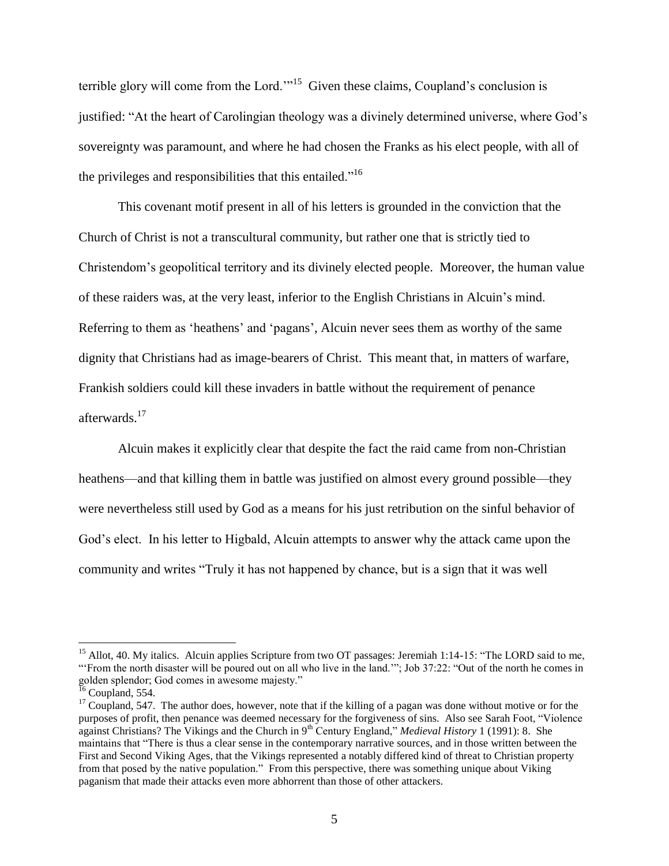terrible glory will come from the Lord."<sup>15</sup> Given these claims, Coupland's conclusion is justified: "At the heart of Carolingian theology was a divinely determined universe, where God's sovereignty was paramount, and where he had chosen the Franks as his elect people, with all of the privileges and responsibilities that this entailed."<sup>16</sup>

This covenant motif present in all of his letters is grounded in the conviction that the Church of Christ is not a transcultural community, but rather one that is strictly tied to Christendom"s geopolitical territory and its divinely elected people. Moreover, the human value of these raiders was, at the very least, inferior to the English Christians in Alcuin"s mind. Referring to them as 'heathens' and 'pagans', Alcuin never sees them as worthy of the same dignity that Christians had as image-bearers of Christ. This meant that, in matters of warfare, Frankish soldiers could kill these invaders in battle without the requirement of penance afterwards.<sup>17</sup>

Alcuin makes it explicitly clear that despite the fact the raid came from non-Christian heathens—and that killing them in battle was justified on almost every ground possible—they were nevertheless still used by God as a means for his just retribution on the sinful behavior of God"s elect. In his letter to Higbald, Alcuin attempts to answer why the attack came upon the community and writes "Truly it has not happened by chance, but is a sign that it was well

<sup>&</sup>lt;sup>15</sup> Allot, 40. My italics. Alcuin applies Scripture from two OT passages: Jeremiah 1:14-15: "The LORD said to me, "From the north disaster will be poured out on all who live in the land.""; Job 37:22: "Out of the north he comes in golden splendor; God comes in awesome majesty."

 $^{16}$  Coupland, 554.

 $17$  Coupland, 547. The author does, however, note that if the killing of a pagan was done without motive or for the purposes of profit, then penance was deemed necessary for the forgiveness of sins. Also see Sarah Foot, "Violence against Christians? The Vikings and the Church in 9th Century England," *Medieval History* 1 (1991): 8. She maintains that "There is thus a clear sense in the contemporary narrative sources, and in those written between the First and Second Viking Ages, that the Vikings represented a notably differed kind of threat to Christian property from that posed by the native population." From this perspective, there was something unique about Viking paganism that made their attacks even more abhorrent than those of other attackers.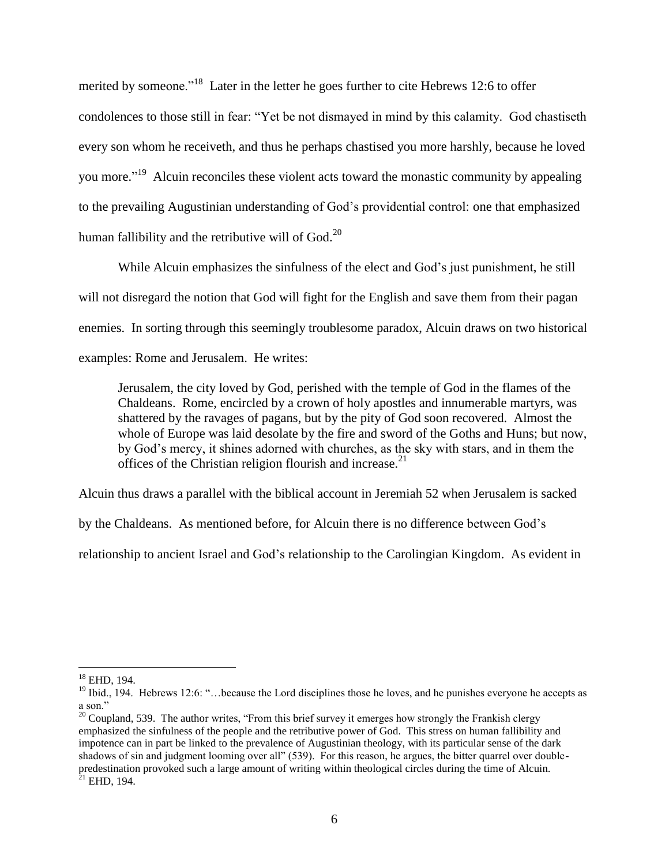merited by someone."<sup>18</sup> Later in the letter he goes further to cite Hebrews 12:6 to offer condolences to those still in fear: "Yet be not dismayed in mind by this calamity. God chastiseth every son whom he receiveth, and thus he perhaps chastised you more harshly, because he loved you more."<sup>19</sup> Alcuin reconciles these violent acts toward the monastic community by appealing to the prevailing Augustinian understanding of God"s providential control: one that emphasized human fallibility and the retributive will of  $Good.<sup>20</sup>$ 

While Alcuin emphasizes the sinfulness of the elect and God's just punishment, he still will not disregard the notion that God will fight for the English and save them from their pagan enemies. In sorting through this seemingly troublesome paradox, Alcuin draws on two historical examples: Rome and Jerusalem. He writes:

Jerusalem, the city loved by God, perished with the temple of God in the flames of the Chaldeans. Rome, encircled by a crown of holy apostles and innumerable martyrs, was shattered by the ravages of pagans, but by the pity of God soon recovered. Almost the whole of Europe was laid desolate by the fire and sword of the Goths and Huns; but now, by God"s mercy, it shines adorned with churches, as the sky with stars, and in them the offices of the Christian religion flourish and increase.<sup>21</sup>

Alcuin thus draws a parallel with the biblical account in Jeremiah 52 when Jerusalem is sacked

by the Chaldeans. As mentioned before, for Alcuin there is no difference between God"s

relationship to ancient Israel and God"s relationship to the Carolingian Kingdom. As evident in

 $\overline{a}$  $18$  EHD, 194.

 $19$  Ibid., 194. Hebrews 12:6: "... because the Lord disciplines those he loves, and he punishes everyone he accepts as a son."

 $20$  Coupland, 539. The author writes, "From this brief survey it emerges how strongly the Frankish clergy emphasized the sinfulness of the people and the retributive power of God. This stress on human fallibility and impotence can in part be linked to the prevalence of Augustinian theology, with its particular sense of the dark shadows of sin and judgment looming over all" (539). For this reason, he argues, the bitter quarrel over doublepredestination provoked such a large amount of writing within theological circles during the time of Alcuin.  $21$  EHD, 194.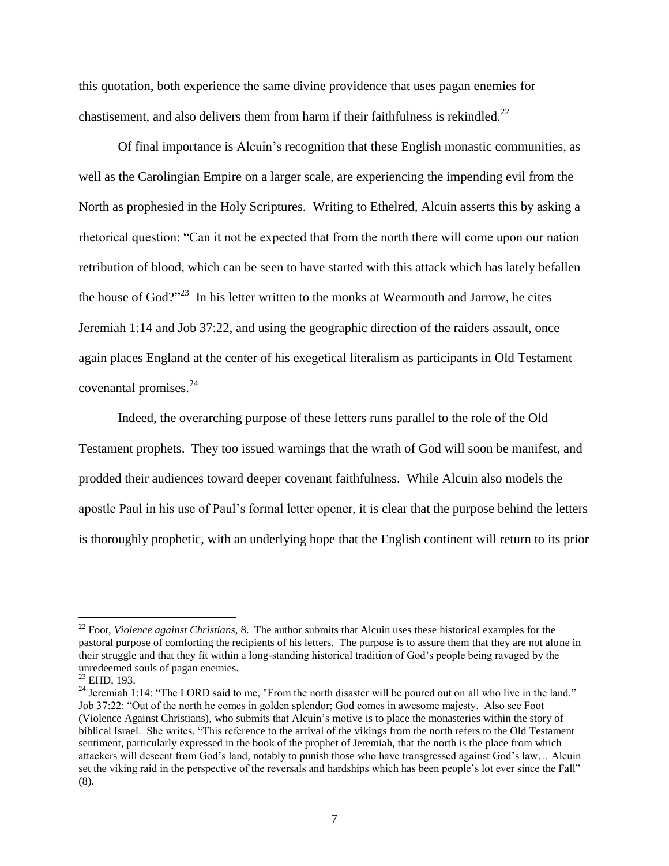this quotation, both experience the same divine providence that uses pagan enemies for chastisement, and also delivers them from harm if their faithfulness is rekindled.<sup>22</sup>

Of final importance is Alcuin"s recognition that these English monastic communities, as well as the Carolingian Empire on a larger scale, are experiencing the impending evil from the North as prophesied in the Holy Scriptures. Writing to Ethelred, Alcuin asserts this by asking a rhetorical question: "Can it not be expected that from the north there will come upon our nation retribution of blood, which can be seen to have started with this attack which has lately befallen the house of  $God?"<sup>23</sup>$  In his letter written to the monks at Wearmouth and Jarrow, he cites Jeremiah 1:14 and Job 37:22, and using the geographic direction of the raiders assault, once again places England at the center of his exegetical literalism as participants in Old Testament covenantal promises. 24

Indeed, the overarching purpose of these letters runs parallel to the role of the Old Testament prophets. They too issued warnings that the wrath of God will soon be manifest, and prodded their audiences toward deeper covenant faithfulness. While Alcuin also models the apostle Paul in his use of Paul"s formal letter opener, it is clear that the purpose behind the letters is thoroughly prophetic, with an underlying hope that the English continent will return to its prior

<sup>&</sup>lt;sup>22</sup> Foot, *Violence against Christians*, 8. The author submits that Alcuin uses these historical examples for the pastoral purpose of comforting the recipients of his letters. The purpose is to assure them that they are not alone in their struggle and that they fit within a long-standing historical tradition of God"s people being ravaged by the unredeemed souls of pagan enemies.

 $^{23}$  EHD, 193.

<sup>&</sup>lt;sup>24</sup> Jeremiah 1:14: "The LORD said to me, "From the north disaster will be poured out on all who live in the land." Job 37:22: "Out of the north he comes in golden splendor; God comes in awesome majesty. Also see Foot (Violence Against Christians), who submits that Alcuin"s motive is to place the monasteries within the story of biblical Israel. She writes, "This reference to the arrival of the vikings from the north refers to the Old Testament sentiment, particularly expressed in the book of the prophet of Jeremiah, that the north is the place from which attackers will descent from God"s land, notably to punish those who have transgressed against God"s law… Alcuin set the viking raid in the perspective of the reversals and hardships which has been people"s lot ever since the Fall" (8).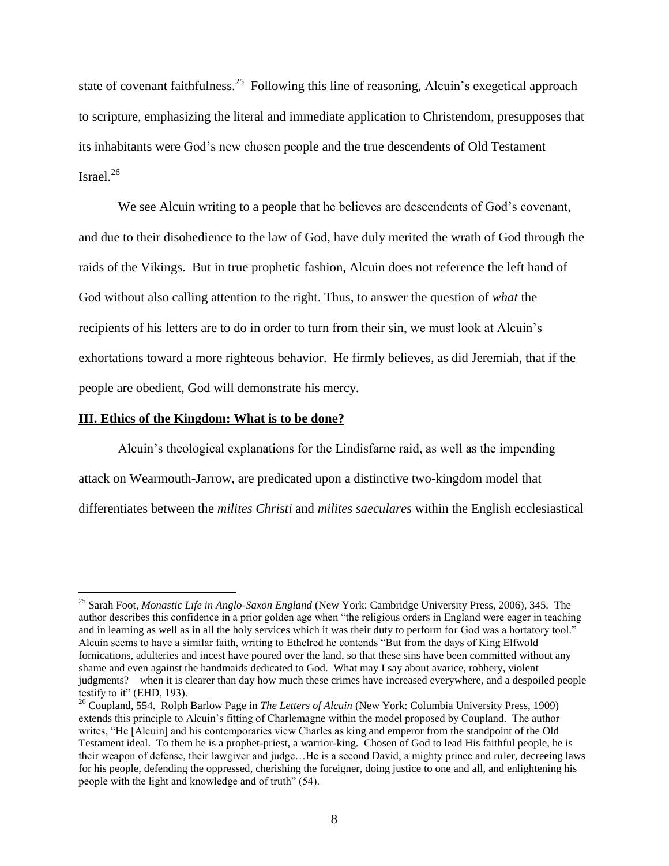state of covenant faithfulness.<sup>25</sup> Following this line of reasoning, Alcuin's exegetical approach to scripture, emphasizing the literal and immediate application to Christendom, presupposes that its inhabitants were God"s new chosen people and the true descendents of Old Testament Israel. $^{26}$ 

We see Alcuin writing to a people that he believes are descendents of God's covenant, and due to their disobedience to the law of God, have duly merited the wrath of God through the raids of the Vikings. But in true prophetic fashion, Alcuin does not reference the left hand of God without also calling attention to the right. Thus, to answer the question of *what* the recipients of his letters are to do in order to turn from their sin, we must look at Alcuin"s exhortations toward a more righteous behavior. He firmly believes, as did Jeremiah, that if the people are obedient, God will demonstrate his mercy.

#### **III. Ethics of the Kingdom: What is to be done?**

 $\overline{a}$ 

Alcuin"s theological explanations for the Lindisfarne raid, as well as the impending attack on Wearmouth-Jarrow, are predicated upon a distinctive two-kingdom model that differentiates between the *milites Christi* and *milites saeculares* within the English ecclesiastical

<sup>25</sup> Sarah Foot, *Monastic Life in Anglo-Saxon England* (New York: Cambridge University Press, 2006), 345. The author describes this confidence in a prior golden age when "the religious orders in England were eager in teaching and in learning as well as in all the holy services which it was their duty to perform for God was a hortatory tool." Alcuin seems to have a similar faith, writing to Ethelred he contends "But from the days of King Elfwold fornications, adulteries and incest have poured over the land, so that these sins have been committed without any shame and even against the handmaids dedicated to God. What may I say about avarice, robbery, violent judgments?—when it is clearer than day how much these crimes have increased everywhere, and a despoiled people testify to it" (EHD, 193).

<sup>26</sup> Coupland, 554. Rolph Barlow Page in *The Letters of Alcuin* (New York: Columbia University Press, 1909) extends this principle to Alcuin"s fitting of Charlemagne within the model proposed by Coupland. The author writes, "He [Alcuin] and his contemporaries view Charles as king and emperor from the standpoint of the Old Testament ideal. To them he is a prophet-priest, a warrior-king. Chosen of God to lead His faithful people, he is their weapon of defense, their lawgiver and judge…He is a second David, a mighty prince and ruler, decreeing laws for his people, defending the oppressed, cherishing the foreigner, doing justice to one and all, and enlightening his people with the light and knowledge and of truth" (54).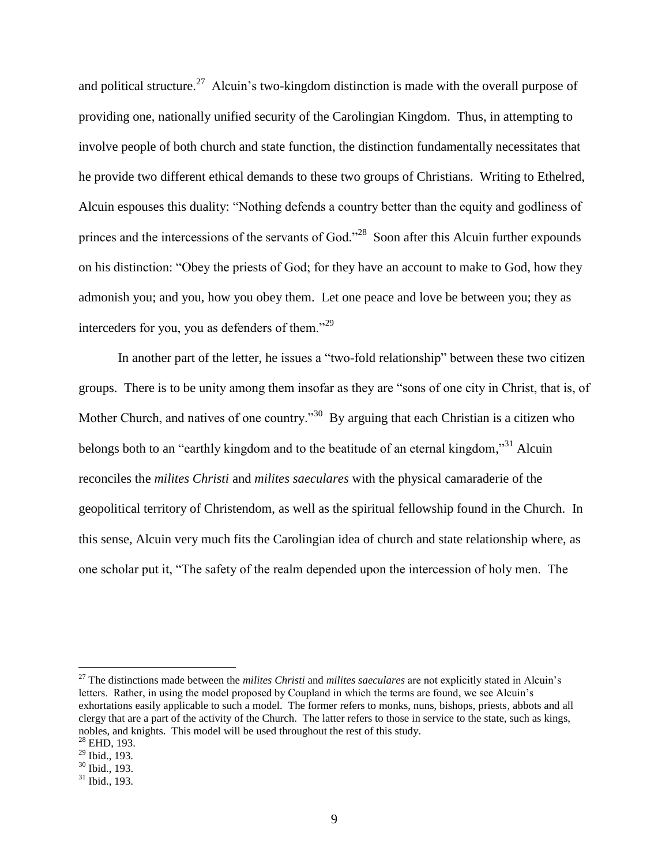and political structure.<sup>27</sup> Alcuin's two-kingdom distinction is made with the overall purpose of providing one, nationally unified security of the Carolingian Kingdom. Thus, in attempting to involve people of both church and state function, the distinction fundamentally necessitates that he provide two different ethical demands to these two groups of Christians. Writing to Ethelred, Alcuin espouses this duality: "Nothing defends a country better than the equity and godliness of princes and the intercessions of the servants of God."<sup>28</sup> Soon after this Alcuin further expounds on his distinction: "Obey the priests of God; for they have an account to make to God, how they admonish you; and you, how you obey them. Let one peace and love be between you; they as interceders for you, you as defenders of them."<sup>29</sup>

In another part of the letter, he issues a "two-fold relationship" between these two citizen groups. There is to be unity among them insofar as they are "sons of one city in Christ, that is, of Mother Church, and natives of one country.<sup>30</sup> By arguing that each Christian is a citizen who belongs both to an "earthly kingdom and to the beatitude of an eternal kingdom,"<sup>31</sup> Alcuin reconciles the *milites Christi* and *milites saeculares* with the physical camaraderie of the geopolitical territory of Christendom, as well as the spiritual fellowship found in the Church. In this sense, Alcuin very much fits the Carolingian idea of church and state relationship where, as one scholar put it, "The safety of the realm depended upon the intercession of holy men. The

<sup>27</sup> The distinctions made between the *milites Christi* and *milites saeculares* are not explicitly stated in Alcuin"s letters. Rather, in using the model proposed by Coupland in which the terms are found, we see Alcuin"s exhortations easily applicable to such a model. The former refers to monks, nuns, bishops, priests, abbots and all clergy that are a part of the activity of the Church. The latter refers to those in service to the state, such as kings, nobles, and knights. This model will be used throughout the rest of this study.

 $^{28}$  EHD, 193.

 $^{29}$  Ibid., 193.

 $30$  Ibid., 193.

 $31$  Ibid., 193.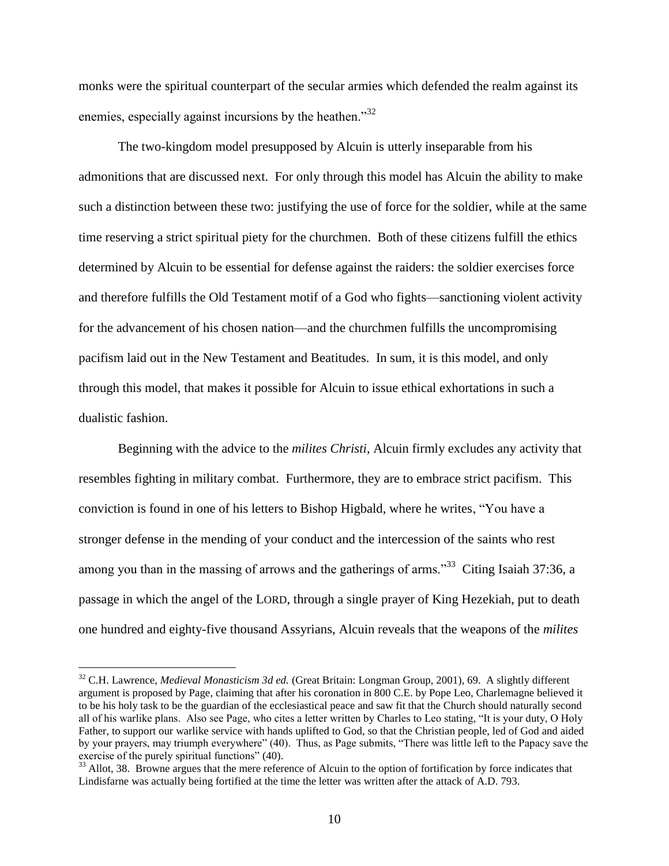monks were the spiritual counterpart of the secular armies which defended the realm against its enemies, especially against incursions by the heathen."<sup>32</sup>

The two-kingdom model presupposed by Alcuin is utterly inseparable from his admonitions that are discussed next. For only through this model has Alcuin the ability to make such a distinction between these two: justifying the use of force for the soldier, while at the same time reserving a strict spiritual piety for the churchmen. Both of these citizens fulfill the ethics determined by Alcuin to be essential for defense against the raiders: the soldier exercises force and therefore fulfills the Old Testament motif of a God who fights—sanctioning violent activity for the advancement of his chosen nation—and the churchmen fulfills the uncompromising pacifism laid out in the New Testament and Beatitudes. In sum, it is this model, and only through this model, that makes it possible for Alcuin to issue ethical exhortations in such a dualistic fashion.

Beginning with the advice to the *milites Christi,* Alcuin firmly excludes any activity that resembles fighting in military combat. Furthermore, they are to embrace strict pacifism. This conviction is found in one of his letters to Bishop Higbald, where he writes, "You have a stronger defense in the mending of your conduct and the intercession of the saints who rest among you than in the massing of arrows and the gatherings of arms."<sup>33</sup> Citing Isaiah 37:36, a passage in which the angel of the LORD, through a single prayer of King Hezekiah, put to death one hundred and eighty-five thousand Assyrians, Alcuin reveals that the weapons of the *milites* 

<sup>32</sup> C.H. Lawrence, *Medieval Monasticism 3d ed.* (Great Britain: Longman Group, 2001), 69. A slightly different argument is proposed by Page, claiming that after his coronation in 800 C.E. by Pope Leo, Charlemagne believed it to be his holy task to be the guardian of the ecclesiastical peace and saw fit that the Church should naturally second all of his warlike plans. Also see Page, who cites a letter written by Charles to Leo stating, "It is your duty, O Holy Father, to support our warlike service with hands uplifted to God, so that the Christian people, led of God and aided by your prayers, may triumph everywhere" (40). Thus, as Page submits, "There was little left to the Papacy save the exercise of the purely spiritual functions" (40).

<sup>&</sup>lt;sup>33</sup> Allot, 38. Browne argues that the mere reference of Alcuin to the option of fortification by force indicates that Lindisfarne was actually being fortified at the time the letter was written after the attack of A.D. 793.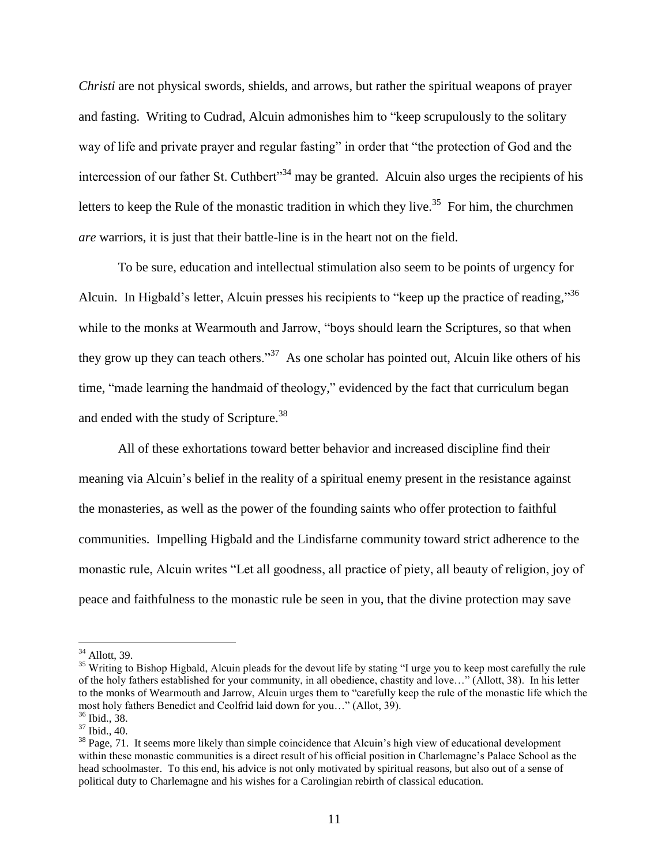*Christi* are not physical swords, shields, and arrows, but rather the spiritual weapons of prayer and fasting. Writing to Cudrad, Alcuin admonishes him to "keep scrupulously to the solitary way of life and private prayer and regular fasting" in order that "the protection of God and the intercession of our father St. Cuthbert<sup> $34$ </sup> may be granted. Alcuin also urges the recipients of his letters to keep the Rule of the monastic tradition in which they live.<sup>35</sup> For him, the churchmen *are* warriors, it is just that their battle-line is in the heart not on the field.

To be sure, education and intellectual stimulation also seem to be points of urgency for Alcuin. In Higbald's letter, Alcuin presses his recipients to "keep up the practice of reading,"<sup>36</sup> while to the monks at Wearmouth and Jarrow, "boys should learn the Scriptures, so that when they grow up they can teach others."<sup>37</sup> As one scholar has pointed out, Alcuin like others of his time, "made learning the handmaid of theology," evidenced by the fact that curriculum began and ended with the study of Scripture.<sup>38</sup>

All of these exhortations toward better behavior and increased discipline find their meaning via Alcuin"s belief in the reality of a spiritual enemy present in the resistance against the monasteries, as well as the power of the founding saints who offer protection to faithful communities. Impelling Higbald and the Lindisfarne community toward strict adherence to the monastic rule, Alcuin writes "Let all goodness, all practice of piety, all beauty of religion, joy of peace and faithfulness to the monastic rule be seen in you, that the divine protection may save

 $34$  Allott, 39.

<sup>&</sup>lt;sup>35</sup> Writing to Bishop Higbald, Alcuin pleads for the devout life by stating "I urge you to keep most carefully the rule of the holy fathers established for your community, in all obedience, chastity and love…" (Allott, 38). In his letter to the monks of Wearmouth and Jarrow, Alcuin urges them to "carefully keep the rule of the monastic life which the most holy fathers Benedict and Ceolfrid laid down for you…" (Allot, 39).

<sup>36</sup> Ibid., 38.

 $37$  Ibid., 40.

 $38$  Page, 71. It seems more likely than simple coincidence that Alcuin's high view of educational development within these monastic communities is a direct result of his official position in Charlemagne's Palace School as the head schoolmaster. To this end, his advice is not only motivated by spiritual reasons, but also out of a sense of political duty to Charlemagne and his wishes for a Carolingian rebirth of classical education.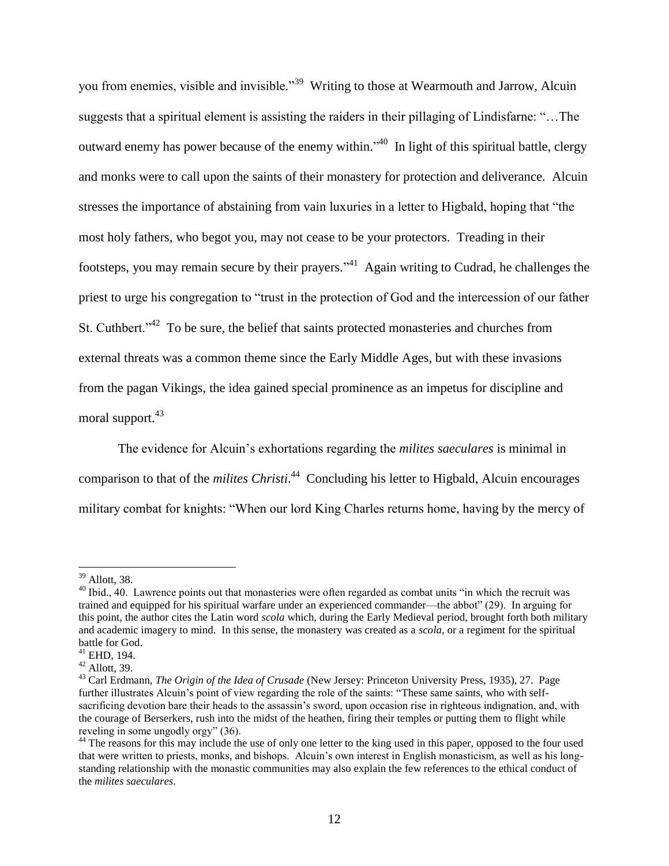you from enemies, visible and invisible."<sup>39</sup> Writing to those at Wearmouth and Jarrow, Alcuin suggests that a spiritual element is assisting the raiders in their pillaging of Lindisfarne: "…The outward enemy has power because of the enemy within."<sup>40</sup> In light of this spiritual battle, clergy and monks were to call upon the saints of their monastery for protection and deliverance. Alcuin stresses the importance of abstaining from vain luxuries in a letter to Higbald, hoping that "the most holy fathers, who begot you, may not cease to be your protectors. Treading in their footsteps, you may remain secure by their prayers."<sup>41</sup> Again writing to Cudrad, he challenges the priest to urge his congregation to "trust in the protection of God and the intercession of our father St. Cuthbert. $1^{342}$  To be sure, the belief that saints protected monasteries and churches from external threats was a common theme since the Early Middle Ages, but with these invasions from the pagan Vikings, the idea gained special prominence as an impetus for discipline and moral support.<sup>43</sup>

The evidence for Alcuin's exhortations regarding the *milites saeculares* is minimal in comparison to that of the *milites Christi*. 44 Concluding his letter to Higbald, Alcuin encourages military combat for knights: "When our lord King Charles returns home, having by the mercy of

 $39$  Allott, 38.

 $40$  Ibid., 40. Lawrence points out that monasteries were often regarded as combat units "in which the recruit was trained and equipped for his spiritual warfare under an experienced commander—the abbot" (29). In arguing for this point, the author cites the Latin word *scola* which, during the Early Medieval period, brought forth both military and academic imagery to mind. In this sense, the monastery was created as a *scola*, or a regiment for the spiritual battle for God.

<sup>41</sup> EHD, 194.

 $42$  Allott, 39.

<sup>43</sup> Carl Erdmann, *The Origin of the Idea of Crusade* (New Jersey: Princeton University Press, 1935), 27. Page further illustrates Alcuin's point of view regarding the role of the saints: "These same saints, who with selfsacrificing devotion bare their heads to the assassin"s sword, upon occasion rise in righteous indignation, and, with the courage of Berserkers, rush into the midst of the heathen, firing their temples or putting them to flight while reveling in some ungodly orgy" (36).

<sup>&</sup>lt;sup>44</sup> The reasons for this may include the use of only one letter to the king used in this paper, opposed to the four used that were written to priests, monks, and bishops. Alcuin"s own interest in English monasticism, as well as his longstanding relationship with the monastic communities may also explain the few references to the ethical conduct of the *milites saeculares*.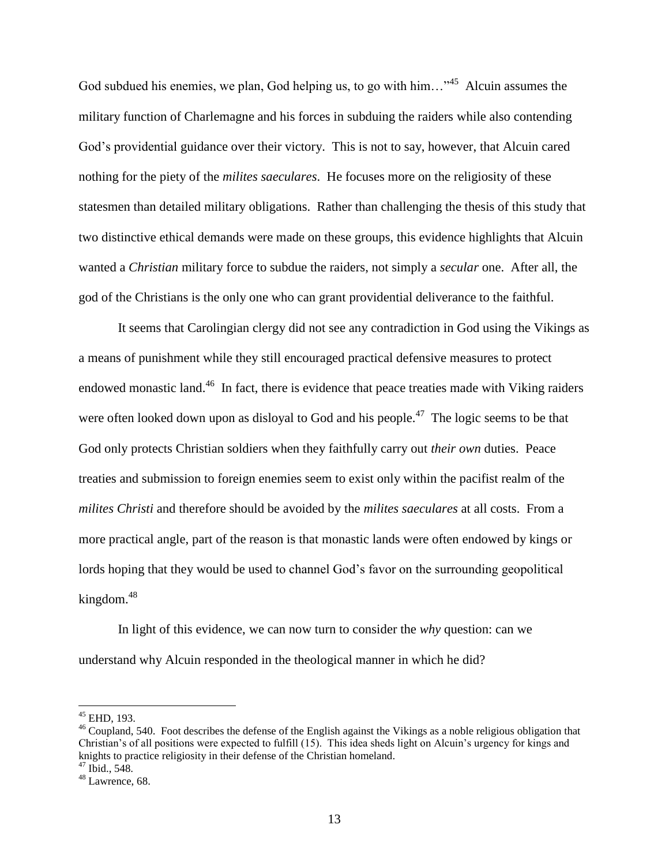God subdued his enemies, we plan, God helping us, to go with him... $\cdot$ <sup>45</sup> Alcuin assumes the military function of Charlemagne and his forces in subduing the raiders while also contending God"s providential guidance over their victory. This is not to say, however, that Alcuin cared nothing for the piety of the *milites saeculares*. He focuses more on the religiosity of these statesmen than detailed military obligations. Rather than challenging the thesis of this study that two distinctive ethical demands were made on these groups, this evidence highlights that Alcuin wanted a *Christian* military force to subdue the raiders, not simply a *secular* one. After all, the god of the Christians is the only one who can grant providential deliverance to the faithful.

It seems that Carolingian clergy did not see any contradiction in God using the Vikings as a means of punishment while they still encouraged practical defensive measures to protect endowed monastic land.<sup>46</sup> In fact, there is evidence that peace treaties made with Viking raiders were often looked down upon as disloyal to God and his people.<sup>47</sup> The logic seems to be that God only protects Christian soldiers when they faithfully carry out *their own* duties. Peace treaties and submission to foreign enemies seem to exist only within the pacifist realm of the *milites Christi* and therefore should be avoided by the *milites saeculares* at all costs. From a more practical angle, part of the reason is that monastic lands were often endowed by kings or lords hoping that they would be used to channel God"s favor on the surrounding geopolitical kingdom.<sup>48</sup>

In light of this evidence, we can now turn to consider the *why* question: can we understand why Alcuin responded in the theological manner in which he did?

 $45$  EHD, 193.

<sup>&</sup>lt;sup>46</sup> Coupland, 540. Foot describes the defense of the English against the Vikings as a noble religious obligation that Christian"s of all positions were expected to fulfill (15). This idea sheds light on Alcuin"s urgency for kings and knights to practice religiosity in their defense of the Christian homeland. <sup>47</sup> Ibid., 548.

<sup>48</sup> Lawrence, 68.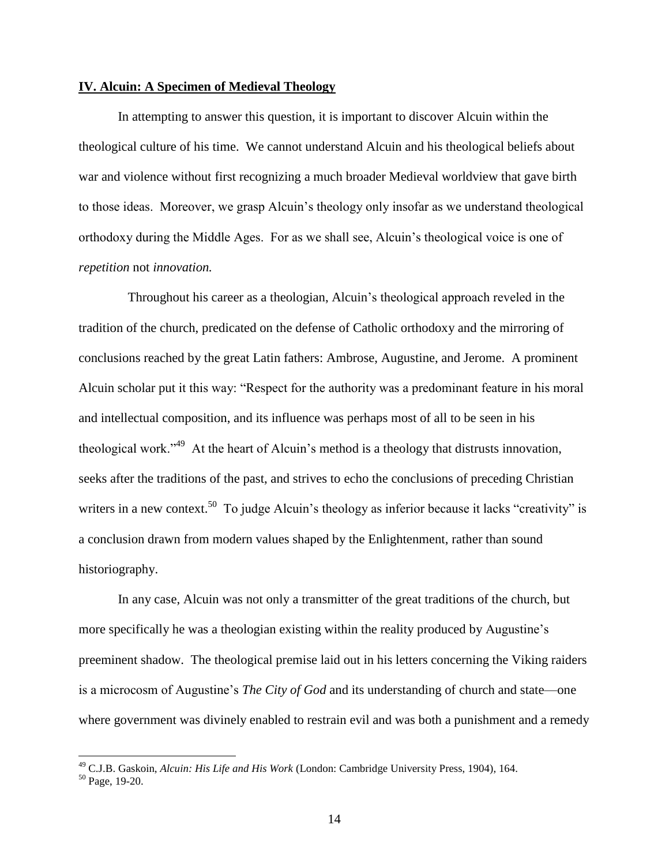#### **IV. Alcuin: A Specimen of Medieval Theology**

In attempting to answer this question, it is important to discover Alcuin within the theological culture of his time. We cannot understand Alcuin and his theological beliefs about war and violence without first recognizing a much broader Medieval worldview that gave birth to those ideas. Moreover, we grasp Alcuin"s theology only insofar as we understand theological orthodoxy during the Middle Ages. For as we shall see, Alcuin"s theological voice is one of *repetition* not *innovation.* 

Throughout his career as a theologian, Alcuin's theological approach reveled in the tradition of the church, predicated on the defense of Catholic orthodoxy and the mirroring of conclusions reached by the great Latin fathers: Ambrose, Augustine, and Jerome. A prominent Alcuin scholar put it this way: "Respect for the authority was a predominant feature in his moral and intellectual composition, and its influence was perhaps most of all to be seen in his theological work."<sup>49</sup> At the heart of Alcuin's method is a theology that distrusts innovation, seeks after the traditions of the past, and strives to echo the conclusions of preceding Christian writers in a new context.<sup>50</sup> To judge Alcuin's theology as inferior because it lacks "creativity" is a conclusion drawn from modern values shaped by the Enlightenment, rather than sound historiography.

In any case, Alcuin was not only a transmitter of the great traditions of the church, but more specifically he was a theologian existing within the reality produced by Augustine"s preeminent shadow. The theological premise laid out in his letters concerning the Viking raiders is a microcosm of Augustine"s *The City of God* and its understanding of church and state—one where government was divinely enabled to restrain evil and was both a punishment and a remedy

<sup>49</sup> C.J.B. Gaskoin, *Alcuin: His Life and His Work* (London: Cambridge University Press, 1904), 164.

<sup>50</sup> Page, 19-20.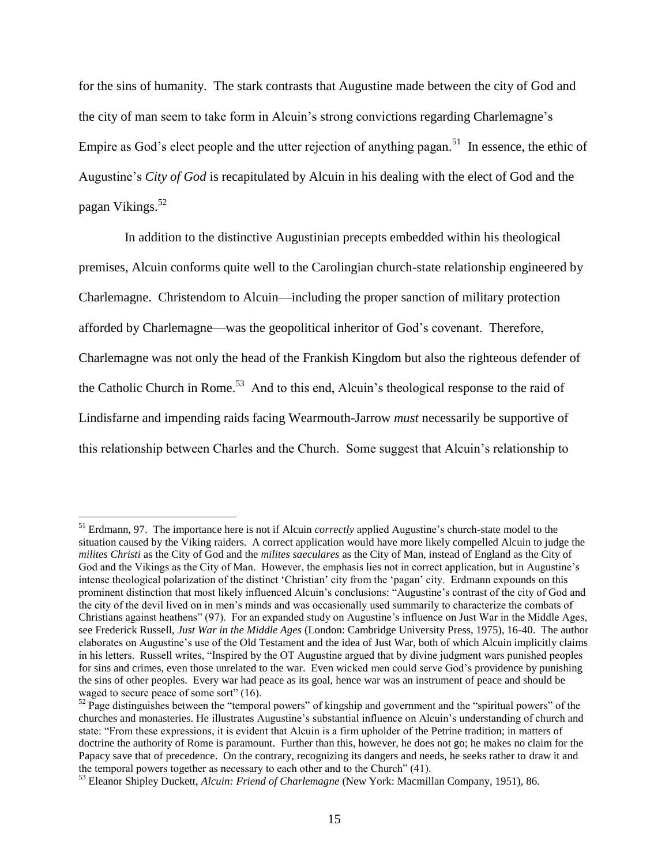for the sins of humanity. The stark contrasts that Augustine made between the city of God and the city of man seem to take form in Alcuin's strong convictions regarding Charlemagne's Empire as God's elect people and the utter rejection of anything pagan.<sup>51</sup> In essence, the ethic of Augustine"s *City of God* is recapitulated by Alcuin in his dealing with the elect of God and the pagan Vikings.<sup>52</sup>

 In addition to the distinctive Augustinian precepts embedded within his theological premises, Alcuin conforms quite well to the Carolingian church-state relationship engineered by Charlemagne. Christendom to Alcuin—including the proper sanction of military protection afforded by Charlemagne—was the geopolitical inheritor of God"s covenant. Therefore, Charlemagne was not only the head of the Frankish Kingdom but also the righteous defender of the Catholic Church in Rome.<sup>53</sup> And to this end, Alcuin's theological response to the raid of Lindisfarne and impending raids facing Wearmouth-Jarrow *must* necessarily be supportive of this relationship between Charles and the Church. Some suggest that Alcuin"s relationship to

<sup>51</sup> Erdmann, 97. The importance here is not if Alcuin *correctly* applied Augustine"s church-state model to the situation caused by the Viking raiders. A correct application would have more likely compelled Alcuin to judge the *milites Christi* as the City of God and the *milites saeculares* as the City of Man, instead of England as the City of God and the Vikings as the City of Man. However, the emphasis lies not in correct application, but in Augustine's intense theological polarization of the distinct "Christian" city from the "pagan" city. Erdmann expounds on this prominent distinction that most likely influenced Alcuin"s conclusions: "Augustine"s contrast of the city of God and the city of the devil lived on in men"s minds and was occasionally used summarily to characterize the combats of Christians against heathens" (97). For an expanded study on Augustine"s influence on Just War in the Middle Ages, see Frederick Russell, *Just War in the Middle Ages* (London: Cambridge University Press, 1975), 16-40. The author elaborates on Augustine"s use of the Old Testament and the idea of Just War, both of which Alcuin implicitly claims in his letters. Russell writes, "Inspired by the OT Augustine argued that by divine judgment wars punished peoples for sins and crimes, even those unrelated to the war. Even wicked men could serve God"s providence by punishing the sins of other peoples. Every war had peace as its goal, hence war was an instrument of peace and should be waged to secure peace of some sort" (16).

 $52$  Page distinguishes between the "temporal powers" of kingship and government and the "spiritual powers" of the churches and monasteries. He illustrates Augustine"s substantial influence on Alcuin"s understanding of church and state: "From these expressions, it is evident that Alcuin is a firm upholder of the Petrine tradition; in matters of doctrine the authority of Rome is paramount. Further than this, however, he does not go; he makes no claim for the Papacy save that of precedence. On the contrary, recognizing its dangers and needs, he seeks rather to draw it and the temporal powers together as necessary to each other and to the Church" (41).

<sup>53</sup> Eleanor Shipley Duckett, *Alcuin: Friend of Charlemagne* (New York: Macmillan Company, 1951), 86.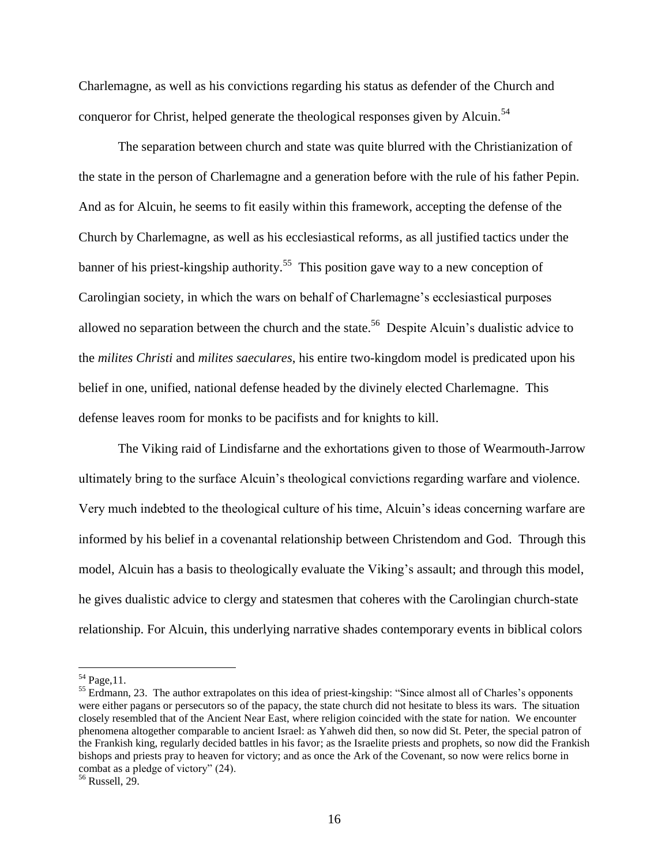Charlemagne, as well as his convictions regarding his status as defender of the Church and conqueror for Christ, helped generate the theological responses given by Alcuin.<sup>54</sup>

The separation between church and state was quite blurred with the Christianization of the state in the person of Charlemagne and a generation before with the rule of his father Pepin. And as for Alcuin, he seems to fit easily within this framework, accepting the defense of the Church by Charlemagne, as well as his ecclesiastical reforms, as all justified tactics under the banner of his priest-kingship authority.<sup>55</sup> This position gave way to a new conception of Carolingian society, in which the wars on behalf of Charlemagne"s ecclesiastical purposes allowed no separation between the church and the state.<sup>56</sup> Despite Alcuin's dualistic advice to the *milites Christi* and *milites saeculares*, his entire two-kingdom model is predicated upon his belief in one, unified, national defense headed by the divinely elected Charlemagne. This defense leaves room for monks to be pacifists and for knights to kill.

The Viking raid of Lindisfarne and the exhortations given to those of Wearmouth-Jarrow ultimately bring to the surface Alcuin"s theological convictions regarding warfare and violence. Very much indebted to the theological culture of his time, Alcuin"s ideas concerning warfare are informed by his belief in a covenantal relationship between Christendom and God. Through this model, Alcuin has a basis to theologically evaluate the Viking"s assault; and through this model, he gives dualistic advice to clergy and statesmen that coheres with the Carolingian church-state relationship. For Alcuin, this underlying narrative shades contemporary events in biblical colors

 $54$  Page, 11.

<sup>&</sup>lt;sup>55</sup> Erdmann, 23. The author extrapolates on this idea of priest-kingship: "Since almost all of Charles's opponents were either pagans or persecutors so of the papacy, the state church did not hesitate to bless its wars. The situation closely resembled that of the Ancient Near East, where religion coincided with the state for nation. We encounter phenomena altogether comparable to ancient Israel: as Yahweh did then, so now did St. Peter, the special patron of the Frankish king, regularly decided battles in his favor; as the Israelite priests and prophets, so now did the Frankish bishops and priests pray to heaven for victory; and as once the Ark of the Covenant, so now were relics borne in combat as a pledge of victory" (24).

<sup>56</sup> Russell, 29.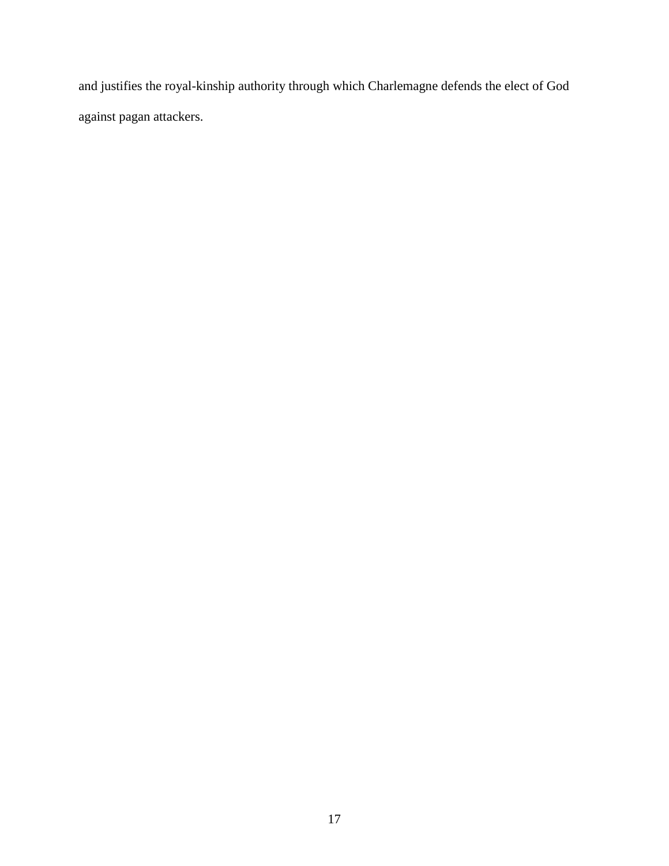and justifies the royal-kinship authority through which Charlemagne defends the elect of God against pagan attackers.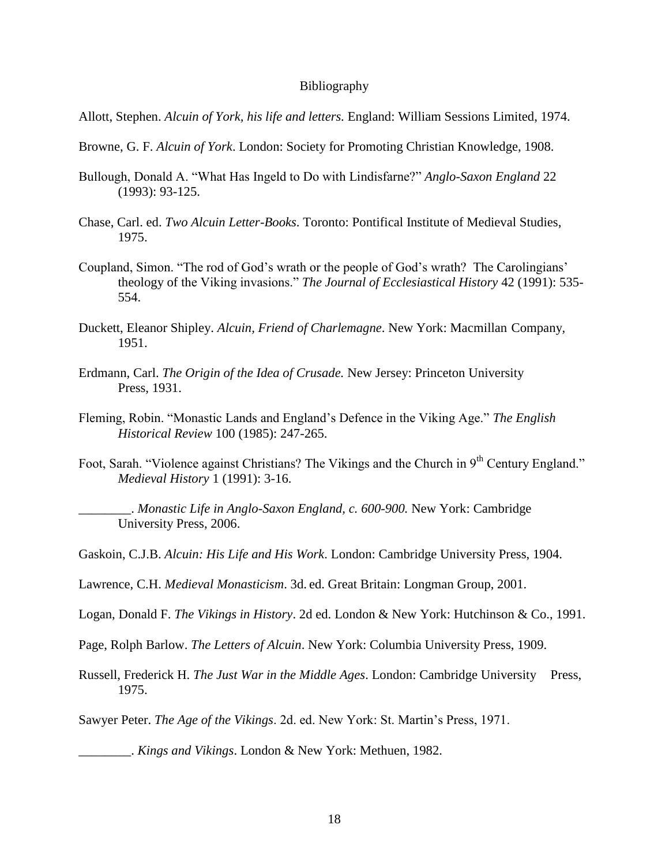#### Bibliography

- Allott, Stephen. *Alcuin of York, his life and letters.* England: William Sessions Limited, 1974.
- Browne, G. F. *Alcuin of York*. London: Society for Promoting Christian Knowledge, 1908.
- Bullough, Donald A. "What Has Ingeld to Do with Lindisfarne?" *Anglo-Saxon England* 22 (1993): 93-125.
- Chase, Carl. ed. *Two Alcuin Letter-Books*. Toronto: Pontifical Institute of Medieval Studies, 1975.
- Coupland, Simon. "The rod of God"s wrath or the people of God"s wrath? The Carolingians" theology of the Viking invasions." *The Journal of Ecclesiastical History* 42 (1991): 535- 554.
- Duckett, Eleanor Shipley. *Alcuin, Friend of Charlemagne*. New York: Macmillan Company, 1951.
- Erdmann, Carl. *The Origin of the Idea of Crusade.* New Jersey: Princeton University Press, 1931.
- Fleming, Robin. "Monastic Lands and England"s Defence in the Viking Age." *The English Historical Review* 100 (1985): 247-265.
- Foot, Sarah. "Violence against Christians? The Vikings and the Church in  $9<sup>th</sup>$  Century England." *Medieval History* 1 (1991): 3-16.

\_\_\_\_\_\_\_\_. *Monastic Life in Anglo-Saxon England, c. 600-900.* New York: Cambridge University Press, 2006.

- Gaskoin, C.J.B. *Alcuin: His Life and His Work*. London: Cambridge University Press, 1904.
- Lawrence, C.H. *Medieval Monasticism*. 3d. ed. Great Britain: Longman Group, 2001.
- Logan, Donald F. *The Vikings in History*. 2d ed. London & New York: Hutchinson & Co., 1991.
- Page, Rolph Barlow. *The Letters of Alcuin*. New York: Columbia University Press, 1909.
- Russell, Frederick H. *The Just War in the Middle Ages*. London: Cambridge University Press, 1975.

Sawyer Peter. *The Age of the Vikings*. 2d. ed. New York: St. Martin"s Press, 1971.

\_\_\_\_\_\_\_\_. *Kings and Vikings*. London & New York: Methuen, 1982.